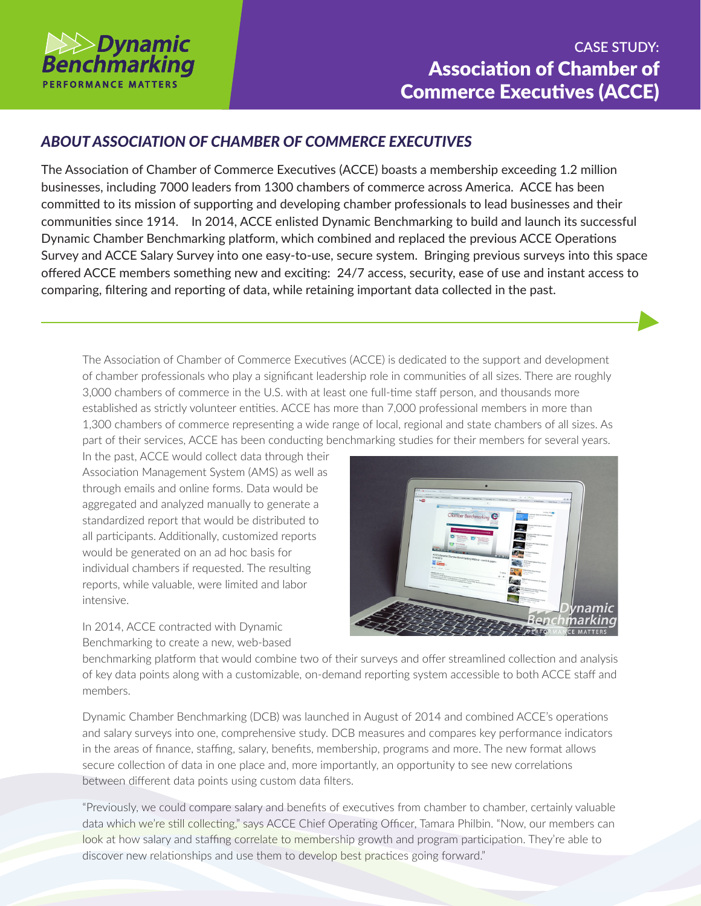

## *ABOUT ASSOCIATION OF CHAMBER OF COMMERCE EXECUTIVES*

The Association of Chamber of Commerce Executives (ACCE) boasts a membership exceeding 1.2 million businesses, including 7000 leaders from 1300 chambers of commerce across America. ACCE has been committed to its mission of supporting and developing chamber professionals to lead businesses and their communities since 1914. In 2014, ACCE enlisted Dynamic Benchmarking to build and launch its successful Dynamic Chamber Benchmarking platform, which combined and replaced the previous ACCE Operations Survey and ACCE Salary Survey into one easy-to-use, secure system. Bringing previous surveys into this space offered ACCE members something new and exciting: 24/7 access, security, ease of use and instant access to comparing, filtering and reporting of data, while retaining important data collected in the past.

The Association of Chamber of Commerce Executives (ACCE) is dedicated to the support and development of chamber professionals who play a significant leadership role in communities of all sizes. There are roughly 3,000 chambers of commerce in the U.S. with at least one full-time staff person, and thousands more established as strictly volunteer entities. ACCE has more than 7,000 professional members in more than 1,300 chambers of commerce representing a wide range of local, regional and state chambers of all sizes. As part of their services, ACCE has been conducting benchmarking studies for their members for several years.

In the past, ACCE would collect data through their Association Management System (AMS) as well as through emails and online forms. Data would be aggregated and analyzed manually to generate a standardized report that would be distributed to all participants. Additionally, customized reports would be generated on an ad hoc basis for individual chambers if requested. The resulting reports, while valuable, were limited and labor intensive.



In 2014, ACCE contracted with Dynamic Benchmarking to create a new, web-based

benchmarking platform that would combine two of their surveys and offer streamlined collection and analysis of key data points along with a customizable, on-demand reporting system accessible to both ACCE staff and members.

Dynamic Chamber Benchmarking (DCB) was launched in August of 2014 and combined ACCE's operations and salary surveys into one, comprehensive study. DCB measures and compares key performance indicators in the areas of finance, staffing, salary, benefits, membership, programs and more. The new format allows secure collection of data in one place and, more importantly, an opportunity to see new correlations between different data points using custom data filters.

"Previously, we could compare salary and benefits of executives from chamber to chamber, certainly valuable data which we're still collecting," says ACCE Chief Operating Officer, Tamara Philbin. "Now, our members can look at how salary and staffing correlate to membership growth and program participation. They're able to discover new relationships and use them to develop best practices going forward."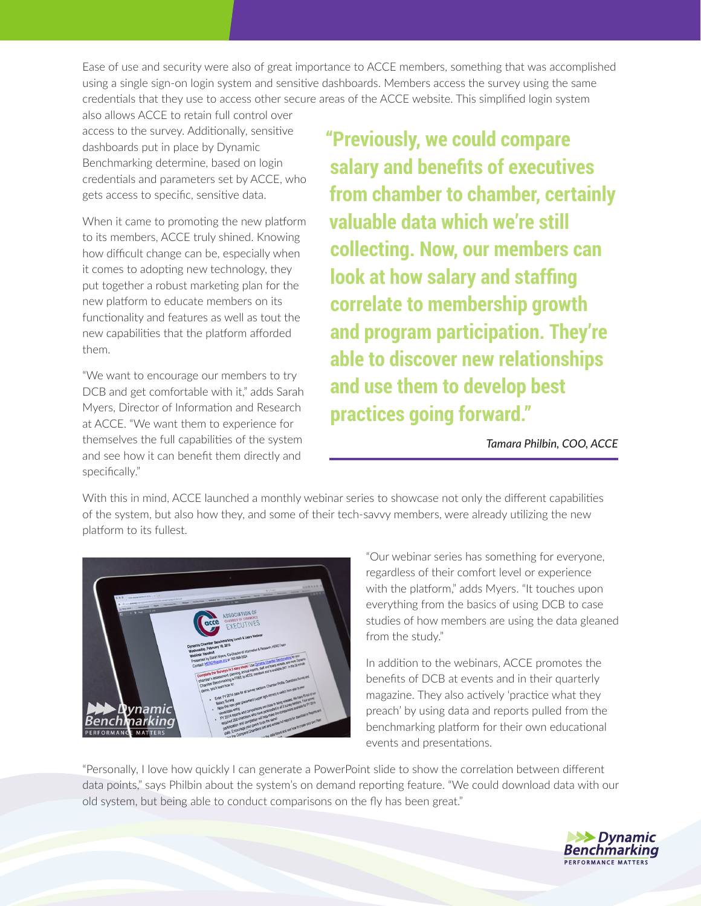Ease of use and security were also of great importance to ACCE members, something that was accomplished using a single sign-on login system and sensitive dashboards. Members access the survey using the same credentials that they use to access other secure areas of the ACCE website. This simplified login system

also allows ACCE to retain full control over access to the survey. Additionally, sensitive dashboards put in place by Dynamic Benchmarking determine, based on login credentials and parameters set by ACCE, who gets access to specific, sensitive data.

When it came to promoting the new platform to its members, ACCE truly shined. Knowing how difficult change can be, especially when it comes to adopting new technology, they put together a robust marketing plan for the new platform to educate members on its functionality and features as well as tout the new capabilities that the platform afforded them.

"We want to encourage our members to try DCB and get comfortable with it," adds Sarah Myers, Director of Information and Research at ACCE. "We want them to experience for themselves the full capabilities of the system and see how it can benefit them directly and specifically."

**"Previously, we could compare salary and benefits of executives from chamber to chamber, certainly valuable data which we're still collecting. Now, our members can look at how salary and staffing correlate to membership growth and program participation. They're able to discover new relationships and use them to develop best practices going forward."**

*Tamara Philbin, COO, ACCE*

With this in mind, ACCE launched a monthly webinar series to showcase not only the different capabilities of the system, but also how they, and some of their tech-savvy members, were already utilizing the new platform to its fullest.



"Our webinar series has something for everyone, regardless of their comfort level or experience with the platform," adds Myers. "It touches upon everything from the basics of using DCB to case studies of how members are using the data gleaned from the study."

In addition to the webinars, ACCE promotes the benefits of DCB at events and in their quarterly magazine. They also actively 'practice what they preach' by using data and reports pulled from the benchmarking platform for their own educational events and presentations.

"Personally, I love how quickly I can generate a PowerPoint slide to show the correlation between different data points," says Philbin about the system's on demand reporting feature. "We could download data with our old system, but being able to conduct comparisons on the fly has been great."